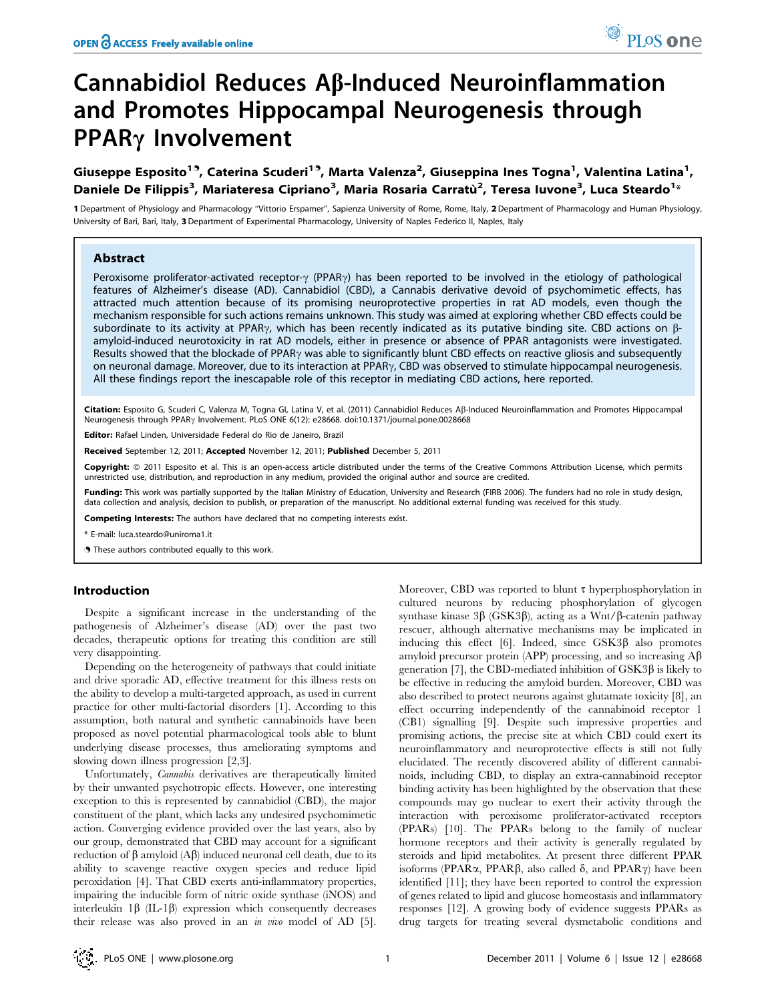# Cannabidiol Reduces  $\mathsf{A}\beta$ -Induced Neuroinflammation and Promotes Hippocampal Neurogenesis through PPAR<sub>Y</sub> Involvement

Giuseppe Esposito<sup>19</sup>, Caterina Scuderi<sup>19</sup>, Marta Valenza<sup>2</sup>, Giuseppina Ines Togna<sup>1</sup>, Valentina Latina<sup>1</sup>, Daniele De Filippis<sup>3</sup>, Mariateresa Cipriano<sup>3</sup>, Maria Rosaria Carratù<sup>2</sup>, Teresa Iuvone<sup>3</sup>, Luca Steardo<sup>1</sup>\*

1 Department of Physiology and Pharmacology ''Vittorio Erspamer'', Sapienza University of Rome, Rome, Italy, 2 Department of Pharmacology and Human Physiology, University of Bari, Bari, Italy, 3 Department of Experimental Pharmacology, University of Naples Federico II, Naples, Italy

# Abstract

Peroxisome proliferator-activated receptor- $\gamma$  (PPAR $\gamma$ ) has been reported to be involved in the etiology of pathological features of Alzheimer's disease (AD). Cannabidiol (CBD), a Cannabis derivative devoid of psychomimetic effects, has attracted much attention because of its promising neuroprotective properties in rat AD models, even though the mechanism responsible for such actions remains unknown. This study was aimed at exploring whether CBD effects could be subordinate to its activity at PPAR $\gamma$ , which has been recently indicated as its putative binding site. CBD actions on  $\beta$ amyloid-induced neurotoxicity in rat AD models, either in presence or absence of PPAR antagonists were investigated. Results showed that the blockade of PPAR $\gamma$  was able to significantly blunt CBD effects on reactive gliosis and subsequently on neuronal damage. Moreover, due to its interaction at PPAR $\gamma$ , CBD was observed to stimulate hippocampal neurogenesis. All these findings report the inescapable role of this receptor in mediating CBD actions, here reported.

Citation: Esposito G, Scuderi C, Valenza M, Togna GI, Latina V, et al. (2011) Cannabidiol Reduces Aß-Induced Neuroinflammation and Promotes Hippocampal Neurogenesis through PPAR<sub>Y</sub> Involvement. PLoS ONE 6(12): e28668. doi:10.1371/journal.pone.0028668

Editor: Rafael Linden, Universidade Federal do Rio de Janeiro, Brazil

Received September 12, 2011; Accepted November 12, 2011; Published December 5, 2011

Copyright: © 2011 Esposito et al. This is an open-access article distributed under the terms of the Creative Commons Attribution License, which permits unrestricted use, distribution, and reproduction in any medium, provided the original author and source are credited.

Funding: This work was partially supported by the Italian Ministry of Education, University and Research (FIRB 2006). The funders had no role in study design, data collection and analysis, decision to publish, or preparation of the manuscript. No additional external funding was received for this study.

Competing Interests: The authors have declared that no competing interests exist.

\* E-mail: luca.steardo@uniroma1.it

. These authors contributed equally to this work.

# Introduction

Despite a significant increase in the understanding of the pathogenesis of Alzheimer's disease (AD) over the past two decades, therapeutic options for treating this condition are still very disappointing.

Depending on the heterogeneity of pathways that could initiate and drive sporadic AD, effective treatment for this illness rests on the ability to develop a multi-targeted approach, as used in current practice for other multi-factorial disorders [1]. According to this assumption, both natural and synthetic cannabinoids have been proposed as novel potential pharmacological tools able to blunt underlying disease processes, thus ameliorating symptoms and slowing down illness progression [2,3].

Unfortunately, Cannabis derivatives are therapeutically limited by their unwanted psychotropic effects. However, one interesting exception to this is represented by cannabidiol (CBD), the major constituent of the plant, which lacks any undesired psychomimetic action. Converging evidence provided over the last years, also by our group, demonstrated that CBD may account for a significant reduction of  $\beta$  amyloid (A $\beta$ ) induced neuronal cell death, due to its ability to scavenge reactive oxygen species and reduce lipid peroxidation [4]. That CBD exerts anti-inflammatory properties, impairing the inducible form of nitric oxide synthase (iNOS) and interleukin  $1\beta$  (IL-1 $\beta$ ) expression which consequently decreases their release was also proved in an in vivo model of AD [5].

Moreover, CBD was reported to blunt  $\tau$  hyperphosphorylation in cultured neurons by reducing phosphorylation of glycogen synthase kinase  $3\beta$  (GSK $3\beta$ ), acting as a Wnt/ $\beta$ -catenin pathway rescuer, although alternative mechanisms may be implicated in inducing this effect [6]. Indeed, since  $GSK3\beta$  also promotes amyloid precursor protein (APP) processing, and so increasing  $A\beta$ generation [7], the CBD-mediated inhibition of  $GSK3\beta$  is likely to be effective in reducing the amyloid burden. Moreover, CBD was also described to protect neurons against glutamate toxicity [8], an effect occurring independently of the cannabinoid receptor 1 (CB1) signalling [9]. Despite such impressive properties and promising actions, the precise site at which CBD could exert its neuroinflammatory and neuroprotective effects is still not fully elucidated. The recently discovered ability of different cannabinoids, including CBD, to display an extra-cannabinoid receptor binding activity has been highlighted by the observation that these compounds may go nuclear to exert their activity through the interaction with peroxisome proliferator-activated receptors (PPARs) [10]. The PPARs belong to the family of nuclear hormone receptors and their activity is generally regulated by steroids and lipid metabolites. At present three different PPAR isoforms (PPAR $\alpha$ , PPAR $\beta$ , also called  $\delta$ , and PPAR $\gamma$ ) have been identified [11]; they have been reported to control the expression of genes related to lipid and glucose homeostasis and inflammatory responses [12]. A growing body of evidence suggests PPARs as drug targets for treating several dysmetabolic conditions and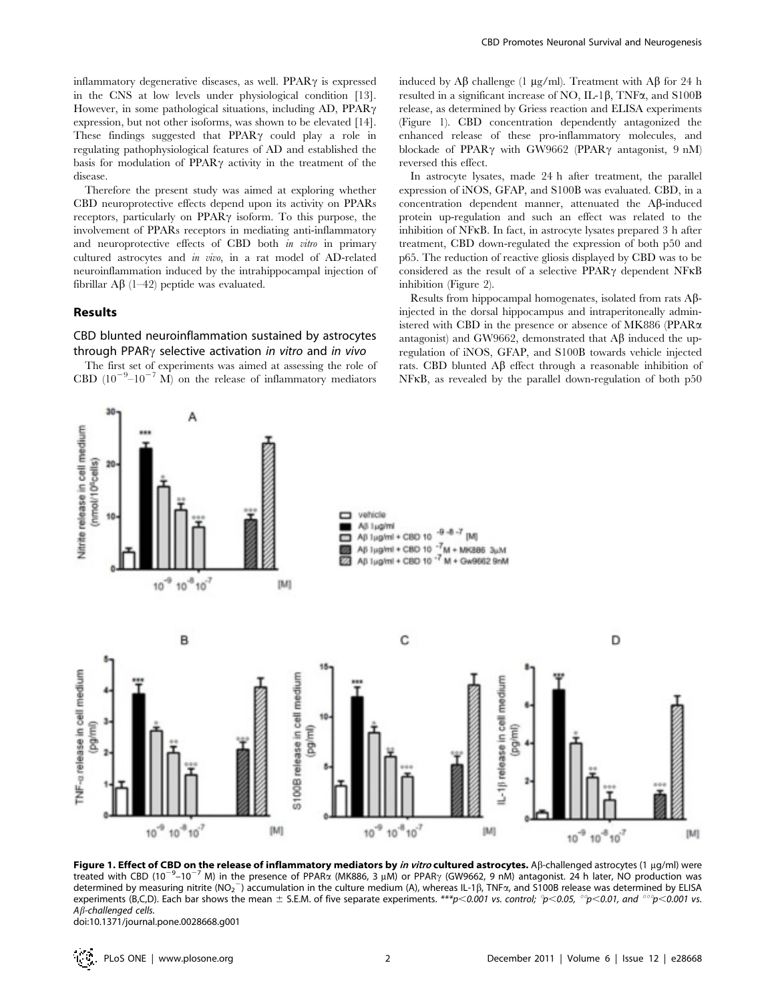Therefore the present study was aimed at exploring whether CBD neuroprotective effects depend upon its activity on PPARs receptors, particularly on PPAR $\gamma$  isoform. To this purpose, the involvement of PPARs receptors in mediating anti-inflammatory and neuroprotective effects of CBD both *in vitro* in primary cultured astrocytes and in vivo, in a rat model of AD-related neuroinflammation induced by the intrahippocampal injection of fibrillar  $\mathbf{A}\beta$  (1–42) peptide was evaluated.

## Results

# CBD blunted neuroinflammation sustained by astrocytes through PPAR $\gamma$  selective activation in vitro and in vivo

The first set of experiments was aimed at assessing the role of CBD  $(10^{-9}-10^{-7} \text{ M})$  on the release of inflammatory mediators

induced by A $\beta$  challenge (1 µg/ml). Treatment with A $\beta$  for 24 h resulted in a significant increase of NO, IL-1 $\beta$ , TNF $\alpha$ , and S100B release, as determined by Griess reaction and ELISA experiments (Figure 1). CBD concentration dependently antagonized the enhanced release of these pro-inflammatory molecules, and blockade of PPAR $\gamma$  with GW9662 (PPAR $\gamma$  antagonist, 9 nM) reversed this effect.

In astrocyte lysates, made 24 h after treatment, the parallel expression of iNOS, GFAP, and S100B was evaluated. CBD, in a concentration dependent manner, attenuated the Ab-induced protein up-regulation and such an effect was related to the inhibition of NFkB. In fact, in astrocyte lysates prepared 3 h after treatment, CBD down-regulated the expression of both p50 and p65. The reduction of reactive gliosis displayed by CBD was to be considered as the result of a selective PPAR $\gamma$  dependent NFKB inhibition (Figure 2).

Results from hippocampal homogenates, isolated from rats Abinjected in the dorsal hippocampus and intraperitoneally administered with CBD in the presence or absence of MK886 (PPARa antagonist) and GW9662, demonstrated that  $A\beta$  induced the upregulation of iNOS, GFAP, and S100B towards vehicle injected rats. CBD blunted  $\mathbf{A}\mathbf{\beta}$  effect through a reasonable inhibition of NFkB, as revealed by the parallel down-regulation of both p50



Figure 1. Effect of CBD on the release of inflammatory mediators by in vitro cultured astrocytes. AB-challenged astrocytes (1  $\mu q/ml$ ) were treated with CBD (10<sup>-9</sup>-10<sup>-7</sup> M) in the presence of PPAR $\alpha$  (MK886, 3  $\mu$ M) or PPAR $\gamma$  (GW9662, 9 nM) antagonist. 24 h later, NO production was determined by measuring nitrite (NO<sub>2</sub><sup>-</sup>) accumulation in the culture medium (A), whereas IL-1β, TNFa, and S100B release was determined by ELISA experiments (B,C,D). Each bar shows the mean  $\pm$  S.E.M. of five separate experiments. \*\*\*p<0.001 vs. control;  $p$ <0.05,  $p$ <0.01, and  $p$ <0.001 vs. A<sub>B</sub>-challenged cells.

doi:10.1371/journal.pone.0028668.g001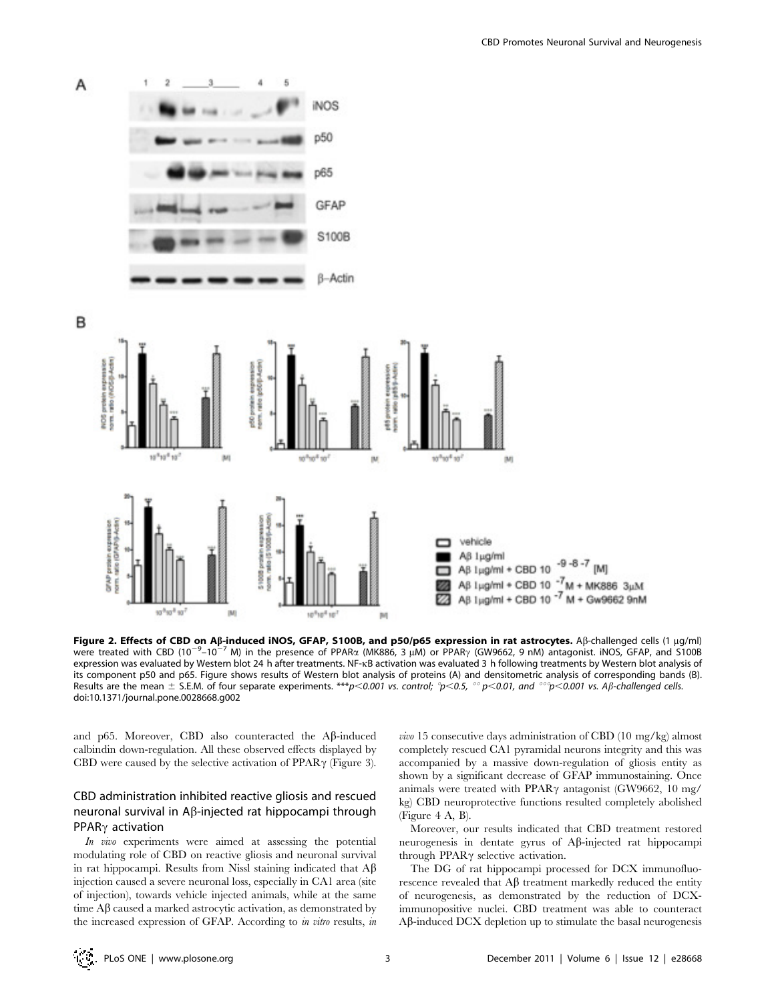

Figure 2. Effects of CBD on Aß-induced iNOS, GFAP, S100B, and p50/p65 expression in rat astrocytes. Aß-challenged cells (1 µg/ml) orgare in interior of the UP on Approximation (100) of the presence of PPARα (MK886, 3 μM) or PPAR<sub>Y</sub> (GW9662, 9 nM) antagonist. iNOS, GFAP, and S100B expression was evaluated by Western blot 24 h after treatments. NF-kB activation was evaluated 3 h following treatments by Western blot analysis of its component p50 and p65. Figure shows results of Western blot analysis of proteins (A) and densitometric analysis of corresponding bands (B). Results are the mean  $\pm$  S.E.M. of four separate experiments. \*\*\*p<0.001 vs. control;  $p<0.5$ ,  $\degree$  p<0.01, and  $\degree$   $\degree$ p<0.001 vs. A $\beta$ -challenged cells. doi:10.1371/journal.pone.0028668.g002

and p65. Moreover, CBD also counteracted the A $\beta$ -induced calbindin down-regulation. All these observed effects displayed by CBD were caused by the selective activation of  $PPAR\gamma$  (Figure 3).

# CBD administration inhibited reactive gliosis and rescued neuronal survival in  $A\beta$ -injected rat hippocampi through  $PPAR\gamma$  activation

In vivo experiments were aimed at assessing the potential modulating role of CBD on reactive gliosis and neuronal survival in rat hippocampi. Results from Nissl staining indicated that  $A\beta$ injection caused a severe neuronal loss, especially in CA1 area (site of injection), towards vehicle injected animals, while at the same time  $A\beta$  caused a marked astrocytic activation, as demonstrated by the increased expression of GFAP. According to in vitro results, in

vivo 15 consecutive days administration of CBD (10 mg/kg) almost completely rescued CA1 pyramidal neurons integrity and this was accompanied by a massive down-regulation of gliosis entity as shown by a significant decrease of GFAP immunostaining. Once animals were treated with PPAR $\gamma$  antagonist (GW9662, 10 mg/ kg) CBD neuroprotective functions resulted completely abolished (Figure 4 A, B).

Moreover, our results indicated that CBD treatment restored neurogenesis in dentate gyrus of Ab-injected rat hippocampi through PPAR $\gamma$  selective activation.

The DG of rat hippocampi processed for DCX immunofluorescence revealed that  $A\beta$  treatment markedly reduced the entity of neurogenesis, as demonstrated by the reduction of DCXimmunopositive nuclei. CBD treatment was able to counteract Ab-induced DCX depletion up to stimulate the basal neurogenesis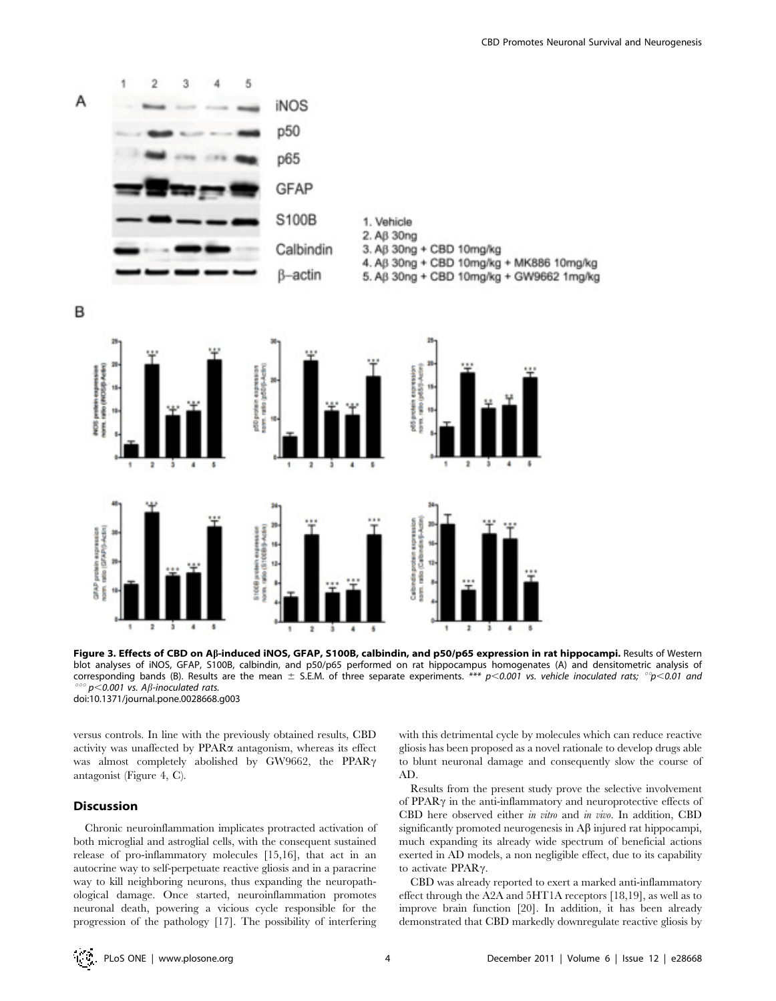



Figure 3. Effects of CBD on Aß-induced iNOS, GFAP, S100B, calbindin, and p50/p65 expression in rat hippocampi. Results of Western blot analyses of iNOS, GFAP, S100B, calbindin, and p50/p65 performed on rat hippocampus homogenates (A) and densitometric analysis of corresponding bands (B). Results are the mean  $\pm$  S.E.M. of three separate experiments. \*\*\* p<0.001 vs. vehicle inoculated rats; °p<0.01 and  $p$ <0.001 vs. A $\beta$ -inoculated rats. doi:10.1371/journal.pone.0028668.g003

versus controls. In line with the previously obtained results, CBD activity was unaffected by  $PPAR\alpha$  antagonism, whereas its effect was almost completely abolished by GW9662, the PPAR $\gamma$ antagonist (Figure 4, C).

## Discussion

Chronic neuroinflammation implicates protracted activation of both microglial and astroglial cells, with the consequent sustained release of pro-inflammatory molecules [15,16], that act in an autocrine way to self-perpetuate reactive gliosis and in a paracrine way to kill neighboring neurons, thus expanding the neuropathological damage. Once started, neuroinflammation promotes neuronal death, powering a vicious cycle responsible for the progression of the pathology [17]. The possibility of interfering

with this detrimental cycle by molecules which can reduce reactive gliosis has been proposed as a novel rationale to develop drugs able to blunt neuronal damage and consequently slow the course of AD.

Results from the present study prove the selective involvement of  $PPAR\gamma$  in the anti-inflammatory and neuroprotective effects of CBD here observed either in vitro and in vivo. In addition, CBD significantly promoted neurogenesis in  $\mathrm{A}\beta$  injured rat hippocampi, much expanding its already wide spectrum of beneficial actions exerted in AD models, a non negligible effect, due to its capability to activate  $PPAR\gamma$ .

CBD was already reported to exert a marked anti-inflammatory effect through the A2A and 5HT1A receptors [18,19], as well as to improve brain function [20]. In addition, it has been already demonstrated that CBD markedly downregulate reactive gliosis by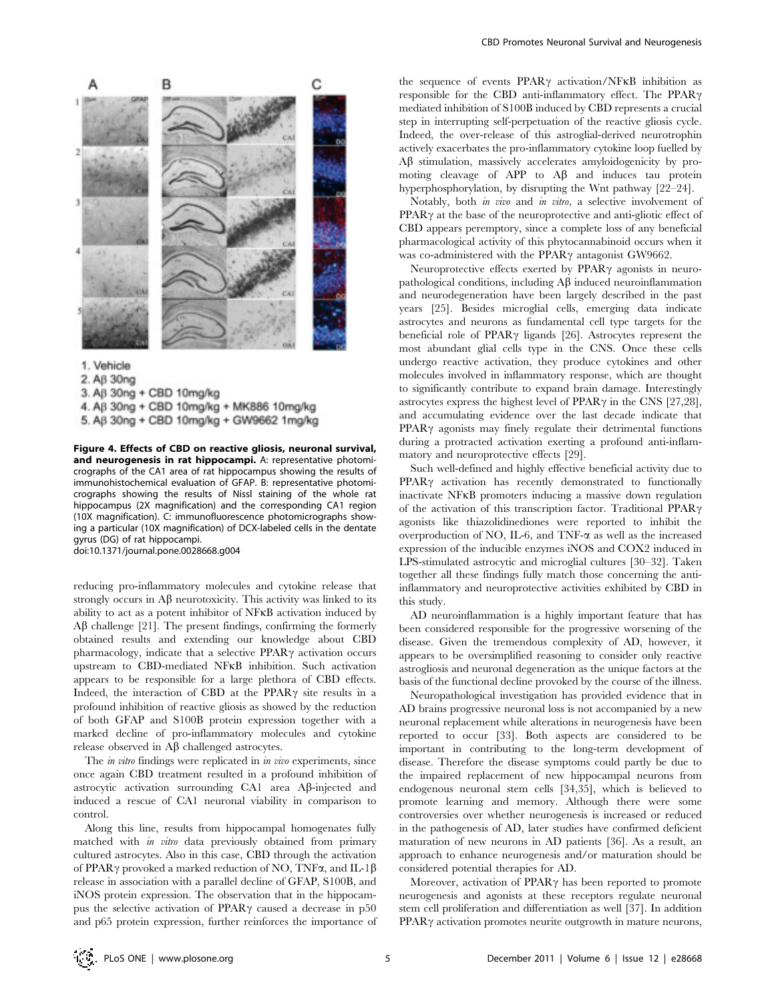

1. Vehicle 2. Aß 30ng

3. Aß 30ng + CBD 10mg/kg 4. Aß 30ng + CBD 10mg/kg + MK886 10mg/kg

5. Aβ 30ng + CBD 10mg/kg + GW9662 1mg/kg

Figure 4. Effects of CBD on reactive gliosis, neuronal survival, and neurogenesis in rat hippocampi. A: representative photomicrographs of the CA1 area of rat hippocampus showing the results of immunohistochemical evaluation of GFAP. B: representative photomicrographs showing the results of Nissl staining of the whole rat hippocampus (2X magnification) and the corresponding CA1 region (10X magnification). C: immunofluorescence photomicrographs showing a particular (10X magnification) of DCX-labeled cells in the dentate gyrus (DG) of rat hippocampi.

doi:10.1371/journal.pone.0028668.g004

reducing pro-inflammatory molecules and cytokine release that strongly occurs in  $\Lambda\beta$  neurotoxicity. This activity was linked to its ability to act as a potent inhibitor of NFkB activation induced by  $\Lambda\beta$  challenge [21]. The present findings, confirming the formerly obtained results and extending our knowledge about CBD pharmacology, indicate that a selective  $PPAR\gamma$  activation occurs upstream to CBD-mediated NFkB inhibition. Such activation appears to be responsible for a large plethora of CBD effects. Indeed, the interaction of CBD at the PPAR $\gamma$  site results in a profound inhibition of reactive gliosis as showed by the reduction of both GFAP and S100B protein expression together with a marked decline of pro-inflammatory molecules and cytokine release observed in  $\mathbf{A}\boldsymbol{\beta}$  challenged astrocytes.

The *in vitro* findings were replicated in *in vivo* experiments, since once again CBD treatment resulted in a profound inhibition of astrocytic activation surrounding CA1 area Ab-injected and induced a rescue of CA1 neuronal viability in comparison to control.

Along this line, results from hippocampal homogenates fully matched with in vitro data previously obtained from primary cultured astrocytes. Also in this case, CBD through the activation of PPAR $\gamma$  provoked a marked reduction of NO, TNF $\alpha$ , and IL-1 $\beta$ release in association with a parallel decline of GFAP, S100B, and iNOS protein expression. The observation that in the hippocampus the selective activation of PPAR $\gamma$  caused a decrease in p50 and p65 protein expression, further reinforces the importance of the sequence of events  $PPAR\gamma$  activation/NFKB inhibition as responsible for the CBD anti-inflammatory effect. The PPAR $\gamma$ mediated inhibition of S100B induced by CBD represents a crucial step in interrupting self-perpetuation of the reactive gliosis cycle. Indeed, the over-release of this astroglial-derived neurotrophin actively exacerbates the pro-inflammatory cytokine loop fuelled by  $\Delta\beta$  stimulation, massively accelerates amyloidogenicity by promoting cleavage of APP to  $\mathsf{A}\mathsf{B}$  and induces tau protein hyperphosphorylation, by disrupting the Wnt pathway [22–24].

Notably, both *in vivo* and *in vitro*, a selective involvement of  $PPAR\gamma$  at the base of the neuroprotective and anti-gliotic effect of CBD appears peremptory, since a complete loss of any beneficial pharmacological activity of this phytocannabinoid occurs when it was co-administered with the PPAR $\gamma$  antagonist GW9662.

Neuroprotective effects exerted by  $PPAR\gamma$  agonists in neuropathological conditions, including  $\Lambda\beta$  induced neuroinflammation and neurodegeneration have been largely described in the past years [25]. Besides microglial cells, emerging data indicate astrocytes and neurons as fundamental cell type targets for the beneficial role of PPAR $\gamma$  ligands [26]. Astrocytes represent the most abundant glial cells type in the CNS. Once these cells undergo reactive activation, they produce cytokines and other molecules involved in inflammatory response, which are thought to significantly contribute to expand brain damage. Interestingly astrocytes express the highest level of PPAR $\gamma$  in the CNS [27,28], and accumulating evidence over the last decade indicate that  $PPAR\gamma$  agonists may finely regulate their detrimental functions during a protracted activation exerting a profound anti-inflammatory and neuroprotective effects [29].

Such well-defined and highly effective beneficial activity due to PPAR<sub>Y</sub> activation has recently demonstrated to functionally inactivate NFkB promoters inducing a massive down regulation of the activation of this transcription factor. Traditional PPAR $\gamma$ agonists like thiazolidinediones were reported to inhibit the overproduction of NO, IL-6, and TNF- $\alpha$  as well as the increased expression of the inducible enzymes iNOS and COX2 induced in LPS-stimulated astrocytic and microglial cultures [30–32]. Taken together all these findings fully match those concerning the antiinflammatory and neuroprotective activities exhibited by CBD in this study.

AD neuroinflammation is a highly important feature that has been considered responsible for the progressive worsening of the disease. Given the tremendous complexity of AD, however, it appears to be oversimplified reasoning to consider only reactive astrogliosis and neuronal degeneration as the unique factors at the basis of the functional decline provoked by the course of the illness.

Neuropathological investigation has provided evidence that in AD brains progressive neuronal loss is not accompanied by a new neuronal replacement while alterations in neurogenesis have been reported to occur [33]. Both aspects are considered to be important in contributing to the long-term development of disease. Therefore the disease symptoms could partly be due to the impaired replacement of new hippocampal neurons from endogenous neuronal stem cells [34,35], which is believed to promote learning and memory. Although there were some controversies over whether neurogenesis is increased or reduced in the pathogenesis of AD, later studies have confirmed deficient maturation of new neurons in AD patients [36]. As a result, an approach to enhance neurogenesis and/or maturation should be considered potential therapies for AD.

Moreover, activation of  $PPAR\gamma$  has been reported to promote neurogenesis and agonists at these receptors regulate neuronal stem cell proliferation and differentiation as well [37]. In addition PPAR<sub>Y</sub> activation promotes neurite outgrowth in mature neurons,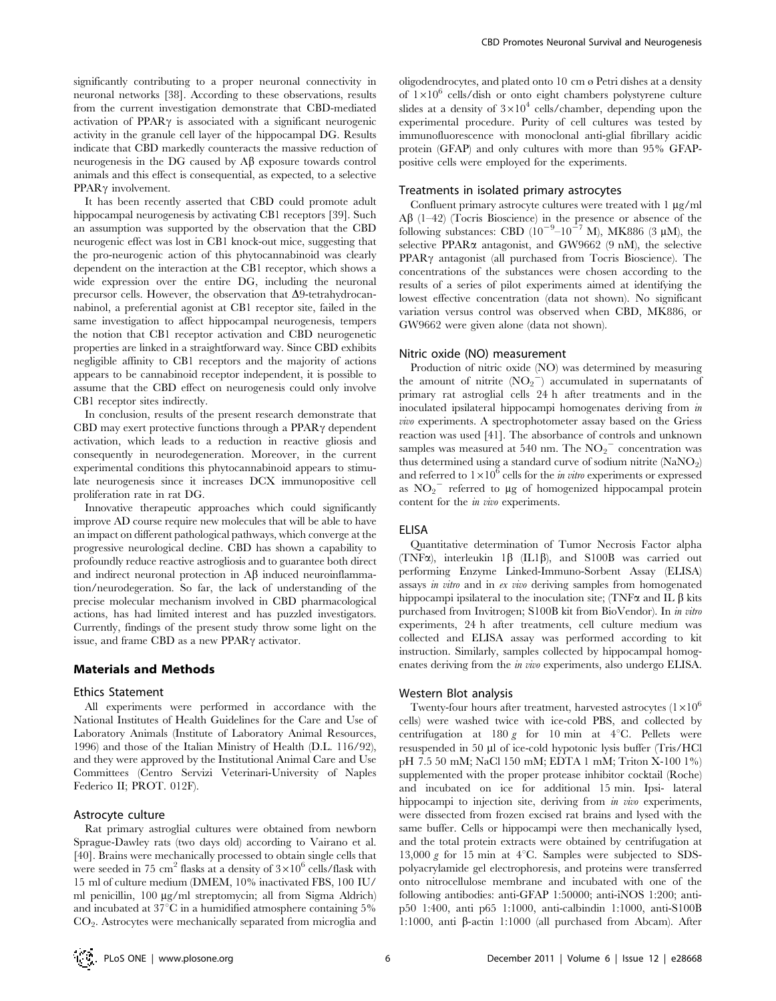significantly contributing to a proper neuronal connectivity in neuronal networks [38]. According to these observations, results from the current investigation demonstrate that CBD-mediated activation of  $PPAR\gamma$  is associated with a significant neurogenic activity in the granule cell layer of the hippocampal DG. Results indicate that CBD markedly counteracts the massive reduction of neurogenesis in the DG caused by  $A\beta$  exposure towards control animals and this effect is consequential, as expected, to a selective  $PPAR\gamma$  involvement.

It has been recently asserted that CBD could promote adult hippocampal neurogenesis by activating CB1 receptors [39]. Such an assumption was supported by the observation that the CBD neurogenic effect was lost in CB1 knock-out mice, suggesting that the pro-neurogenic action of this phytocannabinoid was clearly dependent on the interaction at the CB1 receptor, which shows a wide expression over the entire DG, including the neuronal precursor cells. However, the observation that  $\Delta$ 9-tetrahydrocannabinol, a preferential agonist at CB1 receptor site, failed in the same investigation to affect hippocampal neurogenesis, tempers the notion that CB1 receptor activation and CBD neurogenetic properties are linked in a straightforward way. Since CBD exhibits negligible affinity to CB1 receptors and the majority of actions appears to be cannabinoid receptor independent, it is possible to assume that the CBD effect on neurogenesis could only involve CB1 receptor sites indirectly.

In conclusion, results of the present research demonstrate that CBD may exert protective functions through a  $PPAR\gamma$  dependent activation, which leads to a reduction in reactive gliosis and consequently in neurodegeneration. Moreover, in the current experimental conditions this phytocannabinoid appears to stimulate neurogenesis since it increases DCX immunopositive cell proliferation rate in rat DG.

Innovative therapeutic approaches which could significantly improve AD course require new molecules that will be able to have an impact on different pathological pathways, which converge at the progressive neurological decline. CBD has shown a capability to profoundly reduce reactive astrogliosis and to guarantee both direct and indirect neuronal protection in  $\mathbf{A}\boldsymbol{\beta}$  induced neuroinflammation/neurodegeration. So far, the lack of understanding of the precise molecular mechanism involved in CBD pharmacological actions, has had limited interest and has puzzled investigators. Currently, findings of the present study throw some light on the issue, and frame CBD as a new PPAR $\gamma$  activator.

## Materials and Methods

#### Ethics Statement

All experiments were performed in accordance with the National Institutes of Health Guidelines for the Care and Use of Laboratory Animals (Institute of Laboratory Animal Resources, 1996) and those of the Italian Ministry of Health (D.L. 116/92), and they were approved by the Institutional Animal Care and Use Committees (Centro Servizi Veterinari-University of Naples Federico II; PROT. 012F).

## Astrocyte culture

Rat primary astroglial cultures were obtained from newborn Sprague-Dawley rats (two days old) according to Vairano et al. [40]. Brains were mechanically processed to obtain single cells that were seeded in 75 cm<sup>2</sup> flasks at a density of  $3 \times 10^6$  cells/flask with 15 ml of culture medium (DMEM, 10% inactivated FBS, 100 IU/ ml penicillin, 100 µg/ml streptomycin; all from Sigma Aldrich) and incubated at  $37^{\circ}$ C in a humidified atmosphere containing  $5\%$ CO<sup>2</sup> . Astrocytes were mechanically separated from microglia and

oligodendrocytes, and plated onto 10 cm ø Petri dishes at a density of  $1\times10^6$  cells/dish or onto eight chambers polystyrene culture slides at a density of  $3\times10^4$  cells/chamber, depending upon the experimental procedure. Purity of cell cultures was tested by immunofluorescence with monoclonal anti-glial fibrillary acidic protein (GFAP) and only cultures with more than 95% GFAPpositive cells were employed for the experiments.

#### Treatments in isolated primary astrocytes

Confluent primary astrocyte cultures were treated with  $1 \mu g/ml$  $\overrightarrow{AB}$  (1–42) (Tocris Bioscience) in the presence or absence of the following substances: CBD  $(10^{-9}-10^{-7} \text{ M})$ , MK886 (3 µM), the selective PPAR $\alpha$  antagonist, and GW9662 (9 nM), the selective PPAR<sub>Y</sub> antagonist (all purchased from Tocris Bioscience). The concentrations of the substances were chosen according to the results of a series of pilot experiments aimed at identifying the lowest effective concentration (data not shown). No significant variation versus control was observed when CBD, MK886, or GW9662 were given alone (data not shown).

### Nitric oxide (NO) measurement

Production of nitric oxide (NO) was determined by measuring the amount of nitrite  $(NO<sub>2</sub><sup>-</sup>)$  accumulated in supernatants of primary rat astroglial cells 24 h after treatments and in the inoculated ipsilateral hippocampi homogenates deriving from in vivo experiments. A spectrophotometer assay based on the Griess reaction was used [41]. The absorbance of controls and unknown samples was measured at  $540$  nm. The  $NO<sub>2</sub><sup>-</sup>$  concentration was thus determined using a standard curve of sodium nitrite (NaNO<sub>2</sub>) and referred to  $1\times10^{\overline{6}}$  cells for the *in vitro* experiments or expressed as  $NO<sub>2</sub><sup>-</sup>$  referred to µg of homogenized hippocampal protein content for the in vivo experiments.

## ELISA

Quantitative determination of Tumor Necrosis Factor alpha (TNF $\alpha$ ), interleukin 1 $\beta$  (IL1 $\beta$ ), and S100B was carried out performing Enzyme Linked-Immuno-Sorbent Assay (ELISA) assays in vitro and in ex vivo deriving samples from homogenated hippocampi ipsilateral to the inoculation site; (TNF $\alpha$  and IL  $\beta$  kits purchased from Invitrogen; S100B kit from BioVendor). In in vitro experiments, 24 h after treatments, cell culture medium was collected and ELISA assay was performed according to kit instruction. Similarly, samples collected by hippocampal homogenates deriving from the in vivo experiments, also undergo ELISA.

#### Western Blot analysis

Twenty-four hours after treatment, harvested astrocytes  $(1\times10^6$ cells) were washed twice with ice-cold PBS, and collected by centrifugation at 180 g for 10 min at  $4^{\circ}$ C. Pellets were resuspended in 50 µl of ice-cold hypotonic lysis buffer (Tris/HCl pH 7.5 50 mM; NaCl 150 mM; EDTA 1 mM; Triton X-100 1%) supplemented with the proper protease inhibitor cocktail (Roche) and incubated on ice for additional 15 min. Ipsi- lateral hippocampi to injection site, deriving from in vivo experiments, were dissected from frozen excised rat brains and lysed with the same buffer. Cells or hippocampi were then mechanically lysed, and the total protein extracts were obtained by centrifugation at 13,000 g for 15 min at  $4^{\circ}$ C. Samples were subjected to SDSpolyacrylamide gel electrophoresis, and proteins were transferred onto nitrocellulose membrane and incubated with one of the following antibodies: anti-GFAP 1:50000; anti-iNOS 1:200; antip50 1:400, anti p65 1:1000, anti-calbindin 1:1000, anti-S100B 1:1000, anti  $\beta$ -actin 1:1000 (all purchased from Abcam). After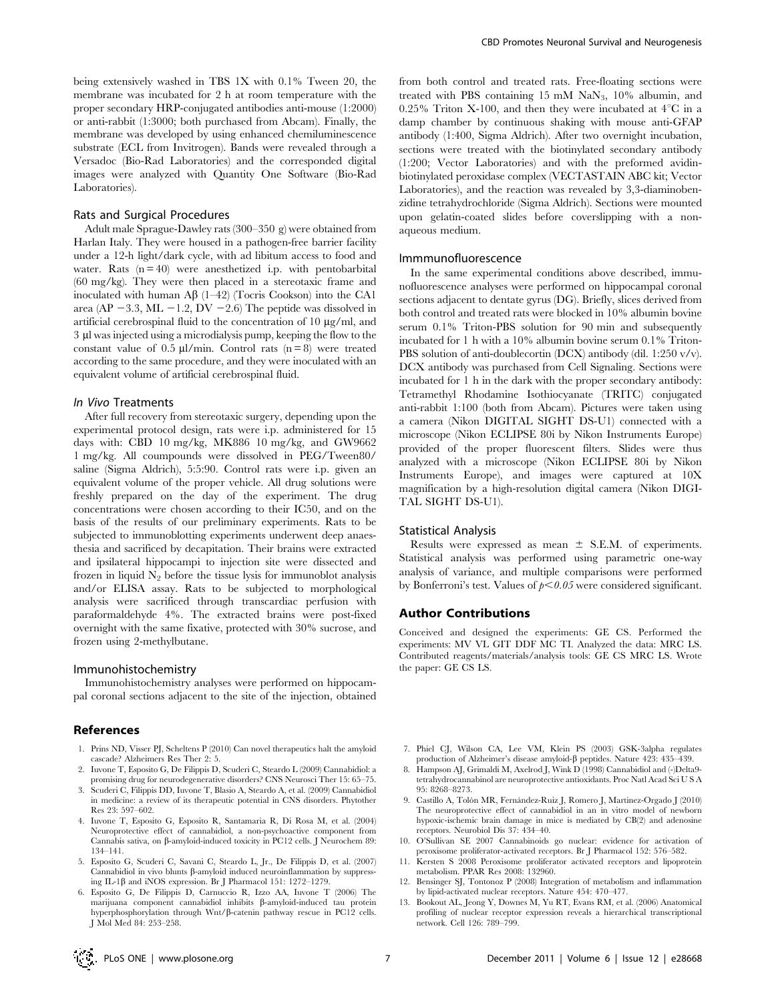being extensively washed in TBS 1X with 0.1% Tween 20, the membrane was incubated for 2 h at room temperature with the proper secondary HRP-conjugated antibodies anti-mouse (1:2000) or anti-rabbit (1:3000; both purchased from Abcam). Finally, the membrane was developed by using enhanced chemiluminescence substrate (ECL from Invitrogen). Bands were revealed through a Versadoc (Bio-Rad Laboratories) and the corresponded digital images were analyzed with Quantity One Software (Bio-Rad Laboratories).

#### Rats and Surgical Procedures

Adult male Sprague-Dawley rats (300–350 g) were obtained from Harlan Italy. They were housed in a pathogen-free barrier facility under a 12-h light/dark cycle, with ad libitum access to food and water. Rats  $(n = 40)$  were anesthetized i.p. with pentobarbital (60 mg/kg). They were then placed in a stereotaxic frame and inoculated with human  $\mathbf{A}\mathbf{\beta}$  (1–42) (Tocris Cookson) into the CA1 area (AP  $-3.3$ , ML  $-1.2$ , DV  $-2.6$ ) The peptide was dissolved in artificial cerebrospinal fluid to the concentration of  $10 \mu g/ml$ , and 3 ml was injected using a microdialysis pump, keeping the flow to the constant value of 0.5  $\mu$ l/min. Control rats (n = 8) were treated according to the same procedure, and they were inoculated with an equivalent volume of artificial cerebrospinal fluid.

#### In Vivo Treatments

After full recovery from stereotaxic surgery, depending upon the experimental protocol design, rats were i.p. administered for 15 days with: CBD 10 mg/kg, MK886 10 mg/kg, and GW9662 1 mg/kg. All coumpounds were dissolved in PEG/Tween80/ saline (Sigma Aldrich), 5:5:90. Control rats were i.p. given an equivalent volume of the proper vehicle. All drug solutions were freshly prepared on the day of the experiment. The drug concentrations were chosen according to their IC50, and on the basis of the results of our preliminary experiments. Rats to be subjected to immunoblotting experiments underwent deep anaesthesia and sacrificed by decapitation. Their brains were extracted and ipsilateral hippocampi to injection site were dissected and frozen in liquid  $N_2$  before the tissue lysis for immunoblot analysis and/or ELISA assay. Rats to be subjected to morphological analysis were sacrificed through transcardiac perfusion with paraformaldehyde 4%. The extracted brains were post-fixed overnight with the same fixative, protected with 30% sucrose, and frozen using 2-methylbutane.

#### Immunohistochemistry

Immunohistochemistry analyses were performed on hippocampal coronal sections adjacent to the site of the injection, obtained

# References

- 1. Prins ND, Visser PJ, Scheltens P (2010) Can novel therapeutics halt the amyloid cascade? Alzheimers Res Ther 2: 5.
- 2. Iuvone T, Esposito G, De Filippis D, Scuderi C, Steardo L (2009) Cannabidiol: a promising drug for neurodegenerative disorders? CNS Neurosci Ther 15: 65–75.
- 3. Scuderi C, Filippis DD, Iuvone T, Blasio A, Steardo A, et al. (2009) Cannabidiol in medicine: a review of its therapeutic potential in CNS disorders. Phytother Res 23: 597–602.
- 4. Iuvone T, Esposito G, Esposito R, Santamaria R, Di Rosa M, et al. (2004) Neuroprotective effect of cannabidiol, a non-psychoactive component from Cannabis sativa, on  $\beta$ -amyloid-induced toxicity in PC12 cells. J Neurochem 89: 134–141.
- 5. Esposito G, Scuderi C, Savani C, Steardo L, Jr., De Filippis D, et al. (2007)  $C$ annabidiol in vivo blunts  $\beta$ -amyloid induced neuroinflammation by suppressing IL-1b and iNOS expression. Br J Pharmacol 151: 1272–1279.
- 6. Esposito G, De Filippis D, Carnuccio R, Izzo AA, Iuvone T (2006) The marijuana component cannabidiol inhibits  $\beta$ -amyloid-induced tau protein hyperphosphorylation through Wnt/b-catenin pathway rescue in PC12 cells. J Mol Med 84: 253–258.

from both control and treated rats. Free-floating sections were treated with PBS containing 15 mM  $\text{NaN}_3$ , 10% albumin, and 0.25% Triton X-100, and then they were incubated at  $4^{\circ}$ C in a damp chamber by continuous shaking with mouse anti-GFAP antibody (1:400, Sigma Aldrich). After two overnight incubation, sections were treated with the biotinylated secondary antibody (1:200; Vector Laboratories) and with the preformed avidinbiotinylated peroxidase complex (VECTASTAIN ABC kit; Vector Laboratories), and the reaction was revealed by 3,3-diaminobenzidine tetrahydrochloride (Sigma Aldrich). Sections were mounted upon gelatin-coated slides before coverslipping with a nonaqueous medium.

#### Immmunofluorescence

In the same experimental conditions above described, immunofluorescence analyses were performed on hippocampal coronal sections adjacent to dentate gyrus (DG). Briefly, slices derived from both control and treated rats were blocked in 10% albumin bovine serum 0.1% Triton-PBS solution for 90 min and subsequently incubated for 1 h with a 10% albumin bovine serum 0.1% Triton-PBS solution of anti-doublecortin (DCX) antibody (dil. 1:250 v/v). DCX antibody was purchased from Cell Signaling. Sections were incubated for 1 h in the dark with the proper secondary antibody: Tetramethyl Rhodamine Isothiocyanate (TRITC) conjugated anti-rabbit 1:100 (both from Abcam). Pictures were taken using a camera (Nikon DIGITAL SIGHT DS-U1) connected with a microscope (Nikon ECLIPSE 80i by Nikon Instruments Europe) provided of the proper fluorescent filters. Slides were thus analyzed with a microscope (Nikon ECLIPSE 80i by Nikon Instruments Europe), and images were captured at 10X magnification by a high-resolution digital camera (Nikon DIGI-TAL SIGHT DS-U1).

# Statistical Analysis

Results were expressed as mean  $\pm$  S.E.M. of experiments. Statistical analysis was performed using parametric one-way analysis of variance, and multiple comparisons were performed by Bonferroni's test. Values of  $p < 0.05$  were considered significant.

## Author Contributions

Conceived and designed the experiments: GE CS. Performed the experiments: MV VL GIT DDF MC TI. Analyzed the data: MRC LS. Contributed reagents/materials/analysis tools: GE CS MRC LS. Wrote the paper: GE CS LS.

- 7. Phiel CJ, Wilson CA, Lee VM, Klein PS (2003) GSK-3alpha regulates production of Alzheimer's disease amyloid-b peptides. Nature 423: 435–439.
- 8. Hampson AJ, Grimaldi M, Axelrod J, Wink D (1998) Cannabidiol and (-)Delta9 tetrahydrocannabinol are neuroprotective antioxidants. Proc Natl Acad Sci U S A 95: 8268–8273.
- 9. Castillo A, Tolón MR, Fernández-Ruiz J, Romero J, Martinez-Orgado J (2010) The neuroprotective effect of cannabidiol in an in vitro model of newborn hypoxic-ischemic brain damage in mice is mediated by CB(2) and adenosine receptors. Neurobiol Dis 37: 434–40.
- 10. O'Sullivan SE 2007 Cannabinoids go nuclear: evidence for activation of peroxisome proliferator-activated receptors. Br J Pharmacol 152: 576–582.
- 11. Kersten S 2008 Peroxisome proliferator activated receptors and lipoprotein metabolism. PPAR Res 2008: 132960.
- 12. Bensinger SJ, Tontonoz P (2008) Integration of metabolism and inflammation by lipid-activated nuclear receptors. Nature 454: 470–477.
- 13. Bookout AL, Jeong Y, Downes M, Yu RT, Evans RM, et al. (2006) Anatomical profiling of nuclear receptor expression reveals a hierarchical transcriptional network. Cell 126: 789–799.